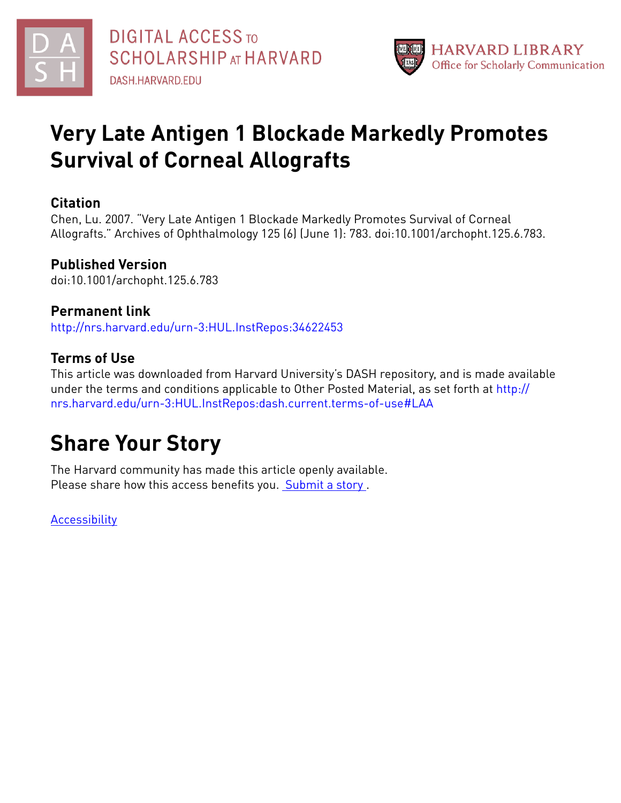



# **Very Late Antigen 1 Blockade Markedly Promotes Survival of Corneal Allografts**

## **Citation**

Chen, Lu. 2007. "Very Late Antigen 1 Blockade Markedly Promotes Survival of Corneal Allografts." Archives of Ophthalmology 125 (6) (June 1): 783. doi:10.1001/archopht.125.6.783.

# **Published Version**

doi:10.1001/archopht.125.6.783

# **Permanent link**

<http://nrs.harvard.edu/urn-3:HUL.InstRepos:34622453>

# **Terms of Use**

This article was downloaded from Harvard University's DASH repository, and is made available under the terms and conditions applicable to Other Posted Material, as set forth at [http://](http://nrs.harvard.edu/urn-3:HUL.InstRepos:dash.current.terms-of-use#LAA) [nrs.harvard.edu/urn-3:HUL.InstRepos:dash.current.terms-of-use#LAA](http://nrs.harvard.edu/urn-3:HUL.InstRepos:dash.current.terms-of-use#LAA)

# **Share Your Story**

The Harvard community has made this article openly available. Please share how this access benefits you. [Submit](http://osc.hul.harvard.edu/dash/open-access-feedback?handle=&title=Very%20Late%20Antigen%201%20Blockade%20Markedly%20Promotes%20Survival%20of%20Corneal%20Allografts&community=1/4454685&collection=1/4454686&owningCollection1/4454686&harvardAuthors=d4d6f22fa8d2ab01b8b583d7cf962722&department) a story.

**[Accessibility](https://dash.harvard.edu/pages/accessibility)**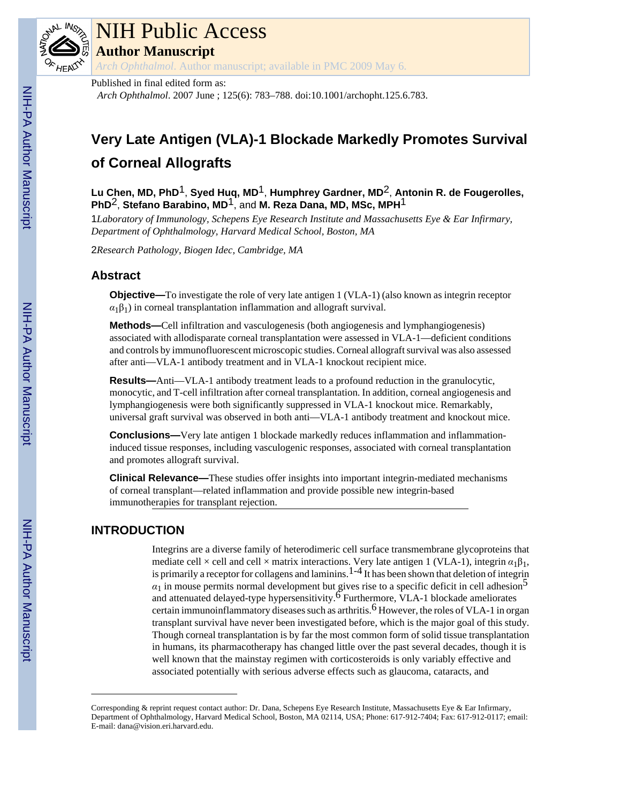

# NIH Public Access

**Author Manuscript**

*Arch Ophthalmol*. Author manuscript; available in PMC 2009 May 6.

### Published in final edited form as:

*Arch Ophthalmol*. 2007 June ; 125(6): 783–788. doi:10.1001/archopht.125.6.783.

# **Very Late Antigen (VLA)-1 Blockade Markedly Promotes Survival of Corneal Allografts**

**Lu Chen, MD, PhD**1, **Syed Huq, MD**1, **Humphrey Gardner, MD**2, **Antonin R. de Fougerolles, PhD**2, **Stefano Barabino, MD**1, and **M. Reza Dana, MD, MSc, MPH**1

1*Laboratory of Immunology, Schepens Eye Research Institute and Massachusetts Eye & Ear Infirmary, Department of Ophthalmology, Harvard Medical School, Boston, MA*

2*Research Pathology, Biogen Idec, Cambridge, MA*

## **Abstract**

**Objective—**To investigate the role of very late antigen 1 (VLA-1) (also known as integrin receptor  $\alpha_1\beta_1$ ) in corneal transplantation inflammation and allograft survival.

**Methods—**Cell infiltration and vasculogenesis (both angiogenesis and lymphangiogenesis) associated with allodisparate corneal transplantation were assessed in VLA-1—deficient conditions and controls by immunofluorescent microscopic studies. Corneal allograft survival was also assessed after anti—VLA-1 antibody treatment and in VLA-1 knockout recipient mice.

**Results—**Anti—VLA-1 antibody treatment leads to a profound reduction in the granulocytic, monocytic, and T-cell infiltration after corneal transplantation. In addition, corneal angiogenesis and lymphangiogenesis were both significantly suppressed in VLA-1 knockout mice. Remarkably, universal graft survival was observed in both anti—VLA-1 antibody treatment and knockout mice.

**Conclusions—**Very late antigen 1 blockade markedly reduces inflammation and inflammationinduced tissue responses, including vasculogenic responses, associated with corneal transplantation and promotes allograft survival.

**Clinical Relevance—**These studies offer insights into important integrin-mediated mechanisms of corneal transplant—related inflammation and provide possible new integrin-based immunotherapies for transplant rejection.

## **INTRODUCTION**

Integrins are a diverse family of heterodimeric cell surface transmembrane glycoproteins that mediate cell × cell and cell × matrix interactions. Very late antigen 1 (VLA-1), integrin  $\alpha_1\beta_1$ , is primarily a receptor for collagens and laminins.  $1-4$  It has been shown that deletion of integrin  $\alpha_1$  in mouse permits normal development but gives rise to a specific deficit in cell adhesion<sup>5</sup> and attenuated delayed-type hypersensitivity.<sup>6</sup> Furthermore, VLA-1 blockade ameliorates certain immunoinflammatory diseases such as arthritis.<sup>6</sup> However, the roles of VLA-1 in organ transplant survival have never been investigated before, which is the major goal of this study. Though corneal transplantation is by far the most common form of solid tissue transplantation in humans, its pharmacotherapy has changed little over the past several decades, though it is well known that the mainstay regimen with corticosteroids is only variably effective and associated potentially with serious adverse effects such as glaucoma, cataracts, and

Corresponding & reprint request contact author: Dr. Dana, Schepens Eye Research Institute, Massachusetts Eye & Ear Infirmary, Department of Ophthalmology, Harvard Medical School, Boston, MA 02114, USA; Phone: 617-912-7404; Fax: 617-912-0117; email: E-mail: dana@vision.eri.harvard.edu.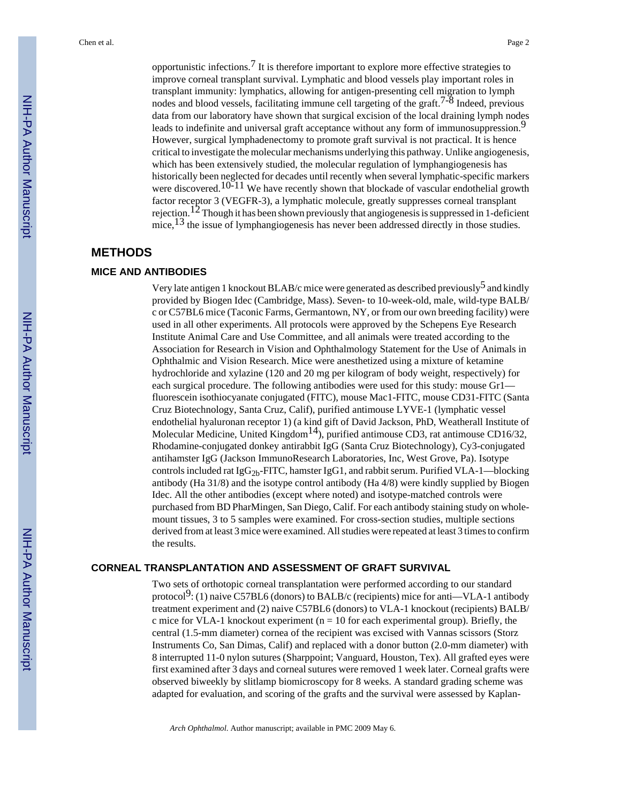opportunistic infections.<sup>7</sup> It is therefore important to explore more effective strategies to improve corneal transplant survival. Lymphatic and blood vessels play important roles in transplant immunity: lymphatics, allowing for antigen-presenting cell migration to lymph nodes and blood vessels, facilitating immune cell targeting of the graft.<sup>7-8</sup> Indeed, previous data from our laboratory have shown that surgical excision of the local draining lymph nodes leads to indefinite and universal graft acceptance without any form of immunosuppression.<sup>9</sup> However, surgical lymphadenectomy to promote graft survival is not practical. It is hence critical to investigate the molecular mechanisms underlying this pathway. Unlike angiogenesis, which has been extensively studied, the molecular regulation of lymphangiogenesis has historically been neglected for decades until recently when several lymphatic-specific markers were discovered.<sup>10-11</sup> We have recently shown that blockade of vascular endothelial growth factor receptor 3 (VEGFR-3), a lymphatic molecule, greatly suppresses corneal transplant rejection.<sup>12</sup> Though it has been shown previously that angiogenesis is suppressed in 1-deficient mice,<sup>13</sup> the issue of lymphangiogenesis has never been addressed directly in those studies.

### **METHODS**

#### **MICE AND ANTIBODIES**

Very late antigen 1 knockout BLAB/c mice were generated as described previously<sup>5</sup> and kindly provided by Biogen Idec (Cambridge, Mass). Seven- to 10-week-old, male, wild-type BALB/ c or C57BL6 mice (Taconic Farms, Germantown, NY, or from our own breeding facility) were used in all other experiments. All protocols were approved by the Schepens Eye Research Institute Animal Care and Use Committee, and all animals were treated according to the Association for Research in Vision and Ophthalmology Statement for the Use of Animals in Ophthalmic and Vision Research. Mice were anesthetized using a mixture of ketamine hydrochloride and xylazine (120 and 20 mg per kilogram of body weight, respectively) for each surgical procedure. The following antibodies were used for this study: mouse Gr1 fluorescein isothiocyanate conjugated (FITC), mouse Mac1-FITC, mouse CD31-FITC (Santa Cruz Biotechnology, Santa Cruz, Calif), purified antimouse LYVE-1 (lymphatic vessel endothelial hyaluronan receptor 1) (a kind gift of David Jackson, PhD, Weatherall Institute of Molecular Medicine, United Kingdom<sup>14</sup>), purified antimouse CD3, rat antimouse CD16/32, Rhodamine-conjugated donkey antirabbit IgG (Santa Cruz Biotechnology), Cy3-conjugated antihamster IgG (Jackson ImmunoResearch Laboratories, Inc, West Grove, Pa). Isotype controls included rat  $I_gG_{2b}$ -FITC, hamster IgG1, and rabbit serum. Purified VLA-1—blocking antibody (Ha 31/8) and the isotype control antibody (Ha 4/8) were kindly supplied by Biogen Idec. All the other antibodies (except where noted) and isotype-matched controls were purchased from BD PharMingen, San Diego, Calif. For each antibody staining study on wholemount tissues, 3 to 5 samples were examined. For cross-section studies, multiple sections derived from at least 3 mice were examined. All studies were repeated at least 3 times to confirm the results.

#### **CORNEAL TRANSPLANTATION AND ASSESSMENT OF GRAFT SURVIVAL**

Two sets of orthotopic corneal transplantation were performed according to our standard protocol<sup>9</sup>: (1) naive C57BL6 (donors) to BALB/c (recipients) mice for anti—VLA-1 antibody treatment experiment and (2) naive C57BL6 (donors) to VLA-1 knockout (recipients) BALB/ c mice for VLA-1 knockout experiment ( $n = 10$  for each experimental group). Briefly, the central (1.5-mm diameter) cornea of the recipient was excised with Vannas scissors (Storz Instruments Co, San Dimas, Calif) and replaced with a donor button (2.0-mm diameter) with 8 interrupted 11-0 nylon sutures (Sharppoint; Vanguard, Houston, Tex). All grafted eyes were first examined after 3 days and corneal sutures were removed 1 week later. Corneal grafts were observed biweekly by slitlamp biomicroscopy for 8 weeks. A standard grading scheme was adapted for evaluation, and scoring of the grafts and the survival were assessed by Kaplan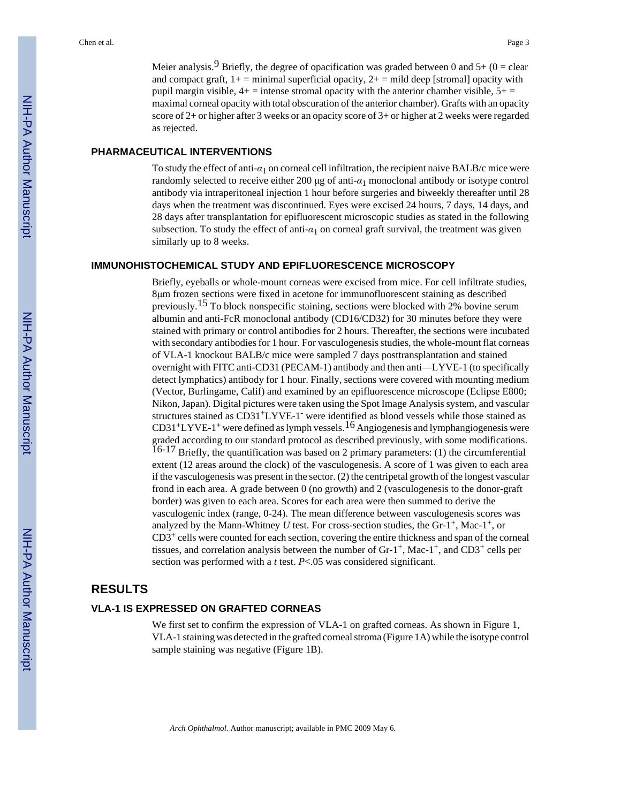Meier analysis.<sup>9</sup> Briefly, the degree of opacification was graded between 0 and 5+ (0 = clear and compact graft,  $1+$  = minimal superficial opacity,  $2+$  = mild deep [stromal] opacity with pupil margin visible,  $4+$  = intense stromal opacity with the anterior chamber visible,  $5+$  = maximal corneal opacity with total obscuration of the anterior chamber). Grafts with an opacity score of 2+ or higher after 3 weeks or an opacity score of 3+ or higher at 2 weeks were regarded as rejected.

#### **PHARMACEUTICAL INTERVENTIONS**

To study the effect of anti-*α*1 on corneal cell infiltration, the recipient naive BALB/c mice were randomly selected to receive either 200 μg of anti-*α*1 monoclonal antibody or isotype control antibody via intraperitoneal injection 1 hour before surgeries and biweekly thereafter until 28 days when the treatment was discontinued. Eyes were excised 24 hours, 7 days, 14 days, and 28 days after transplantation for epifluorescent microscopic studies as stated in the following subsection. To study the effect of anti-*α*1 on corneal graft survival, the treatment was given similarly up to 8 weeks.

#### **IMMUNOHISTOCHEMICAL STUDY AND EPIFLUORESCENCE MICROSCOPY**

Briefly, eyeballs or whole-mount corneas were excised from mice. For cell infiltrate studies, 8μm frozen sections were fixed in acetone for immunofluorescent staining as described previously.<sup>15</sup> To block nonspecific staining, sections were blocked with 2% bovine serum albumin and anti-FcR monoclonal antibody (CD16/CD32) for 30 minutes before they were stained with primary or control antibodies for 2 hours. Thereafter, the sections were incubated with secondary antibodies for 1 hour. For vasculogenesis studies, the whole-mount flat corneas of VLA-1 knockout BALB/c mice were sampled 7 days posttransplantation and stained overnight with FITC anti-CD31 (PECAM-1) antibody and then anti—LYVE-1 (to specifically detect lymphatics) antibody for 1 hour. Finally, sections were covered with mounting medium (Vector, Burlingame, Calif) and examined by an epifluorescence microscope (Eclipse E800; Nikon, Japan). Digital pictures were taken using the Spot Image Analysis system, and vascular structures stained as CD31<sup>+</sup>LYVE-1<sup>-</sup> were identified as blood vessels while those stained as  $CD31<sup>+</sup>LYVE-1<sup>+</sup>$  were defined as lymph vessels.<sup>16</sup> Angiogenesis and lymphangiogenesis were graded according to our standard protocol as described previously, with some modifications. 16-17 Briefly, the quantification was based on 2 primary parameters: (1) the circumferential extent (12 areas around the clock) of the vasculogenesis. A score of 1 was given to each area if the vasculogenesis was present in the sector. (2) the centripetal growth of the longest vascular frond in each area. A grade between 0 (no growth) and 2 (vasculogenesis to the donor-graft border) was given to each area. Scores for each area were then summed to derive the vasculogenic index (range, 0-24). The mean difference between vasculogenesis scores was analyzed by the Mann-Whitney *U* test. For cross-section studies, the  $Gr-1^+$ , Mac-1<sup>+</sup>, or  $CD3<sup>+</sup>$  cells were counted for each section, covering the entire thickness and span of the corneal tissues, and correlation analysis between the number of  $Gr-1^+$ , Mac-1<sup>+</sup>, and CD3<sup>+</sup> cells per section was performed with a *t* test. *P*<.05 was considered significant.

#### **RESULTS**

#### **VLA-1 IS EXPRESSED ON GRAFTED CORNEAS**

We first set to confirm the expression of VLA-1 on grafted corneas. As shown in Figure 1, VLA-1 staining was detected in the grafted corneal stroma (Figure 1A) while the isotype control sample staining was negative (Figure 1B).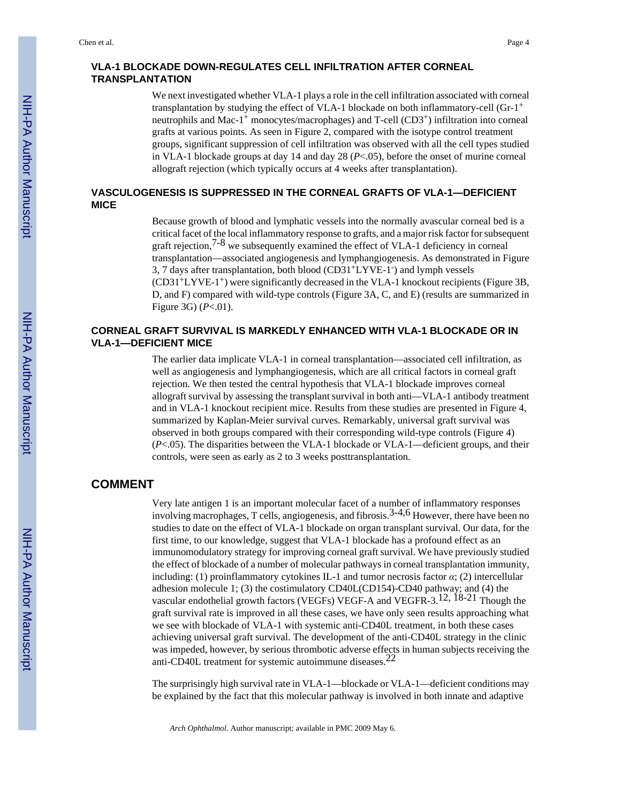#### **VLA-1 BLOCKADE DOWN-REGULATES CELL INFILTRATION AFTER CORNEAL TRANSPLANTATION**

We next investigated whether VLA-1 plays a role in the cell infiltration associated with corneal transplantation by studying the effect of VLA-1 blockade on both inflammatory-cell (Gr-1<sup>+</sup> neutrophils and Mac-1+ monocytes/macrophages) and T-cell (CD3+) infiltration into corneal grafts at various points. As seen in Figure 2, compared with the isotype control treatment groups, significant suppression of cell infiltration was observed with all the cell types studied in VLA-1 blockade groups at day 14 and day 28 (*P*<.05), before the onset of murine corneal allograft rejection (which typically occurs at 4 weeks after transplantation).

#### **VASCULOGENESIS IS SUPPRESSED IN THE CORNEAL GRAFTS OF VLA-1—DEFICIENT MICE**

Because growth of blood and lymphatic vessels into the normally avascular corneal bed is a critical facet of the local inflammatory response to grafts, and a major risk factor for subsequent graft rejection,  $7-8$  we subsequently examined the effect of VLA-1 deficiency in corneal transplantation—associated angiogenesis and lymphangiogenesis. As demonstrated in Figure 3, 7 days after transplantation, both blood (CD31+LYVE-1- ) and lymph vessels  $(CD31+LYVE-1+)$  were significantly decreased in the VLA-1 knockout recipients (Figure 3B, D, and F) compared with wild-type controls (Figure 3A, C, and E) (results are summarized in Figure 3G) (*P*<.01).

#### **CORNEAL GRAFT SURVIVAL IS MARKEDLY ENHANCED WITH VLA-1 BLOCKADE OR IN VLA-1—DEFICIENT MICE**

The earlier data implicate VLA-1 in corneal transplantation—associated cell infiltration, as well as angiogenesis and lymphangiogenesis, which are all critical factors in corneal graft rejection. We then tested the central hypothesis that VLA-1 blockade improves corneal allograft survival by assessing the transplant survival in both anti—VLA-1 antibody treatment and in VLA-1 knockout recipient mice. Results from these studies are presented in Figure 4, summarized by Kaplan-Meier survival curves. Remarkably, universal graft survival was observed in both groups compared with their corresponding wild-type controls (Figure 4) (*P*<.05). The disparities between the VLA-1 blockade or VLA-1—deficient groups, and their controls, were seen as early as 2 to 3 weeks posttransplantation.

## **COMMENT**

Very late antigen 1 is an important molecular facet of a number of inflammatory responses involving macrophages, T cells, angiogenesis, and fibrosis.<sup>3-4,6</sup> However, there have been no studies to date on the effect of VLA-1 blockade on organ transplant survival. Our data, for the first time, to our knowledge, suggest that VLA-1 blockade has a profound effect as an immunomodulatory strategy for improving corneal graft survival. We have previously studied the effect of blockade of a number of molecular pathways in corneal transplantation immunity, including: (1) proinflammatory cytokines IL-1 and tumor necrosis factor *α*; (2) intercellular adhesion molecule 1; (3) the costimulatory CD40L(CD154)-CD40 pathway; and (4) the vascular endothelial growth factors (VEGFs) VEGF-A and VEGFR-3.<sup>12, 18-21</sup> Though the graft survival rate is improved in all these cases, we have only seen results approaching what we see with blockade of VLA-1 with systemic anti-CD40L treatment, in both these cases achieving universal graft survival. The development of the anti-CD40L strategy in the clinic was impeded, however, by serious thrombotic adverse effects in human subjects receiving the anti-CD40L treatment for systemic autoimmune diseases.<sup>22</sup>

The surprisingly high survival rate in VLA-1—blockade or VLA-1—deficient conditions may be explained by the fact that this molecular pathway is involved in both innate and adaptive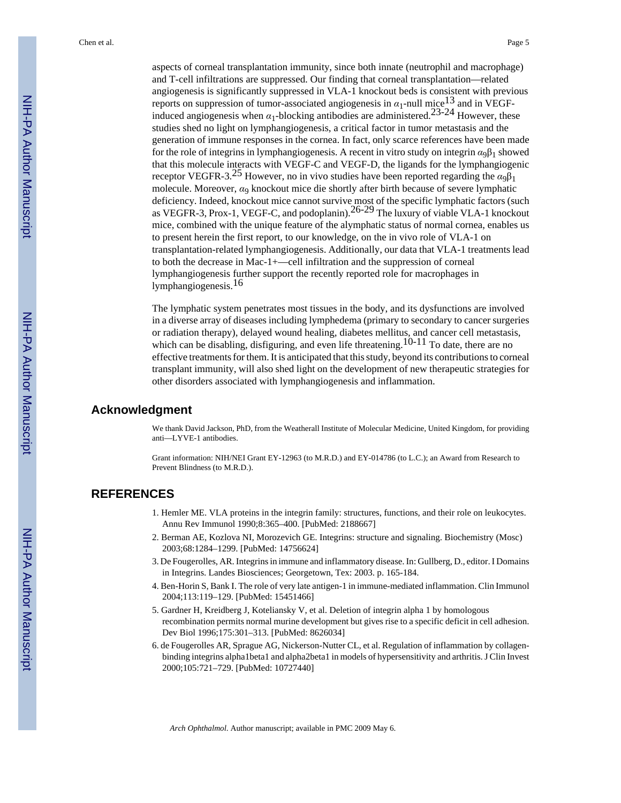aspects of corneal transplantation immunity, since both innate (neutrophil and macrophage) and T-cell infiltrations are suppressed. Our finding that corneal transplantation—related angiogenesis is significantly suppressed in VLA-1 knockout beds is consistent with previous reports on suppression of tumor-associated angiogenesis in  $\alpha_1$ -null mice<sup>13</sup> and in VEGFinduced angiogenesis when  $\alpha_1$ -blocking antibodies are administered.<sup>23-24</sup> However, these studies shed no light on lymphangiogenesis, a critical factor in tumor metastasis and the generation of immune responses in the cornea. In fact, only scarce references have been made for the role of integrins in lymphangiogenesis. A recent in vitro study on integrin  $\alpha_0 \beta_1$  showed that this molecule interacts with VEGF-C and VEGF-D, the ligands for the lymphangiogenic receptor VEGFR-3.<sup>25</sup> However, no in vivo studies have been reported regarding the  $\alpha_9\beta_1$ molecule. Moreover, *α*9 knockout mice die shortly after birth because of severe lymphatic deficiency. Indeed, knockout mice cannot survive most of the specific lymphatic factors (such as VEGFR-3, Prox-1, VEGF-C, and podoplanin).  $26-29$  The luxury of viable VLA-1 knockout mice, combined with the unique feature of the alymphatic status of normal cornea, enables us to present herein the first report, to our knowledge, on the in vivo role of VLA-1 on transplantation-related lymphangiogenesis. Additionally, our data that VLA-1 treatments lead to both the decrease in Mac-1+—cell infiltration and the suppression of corneal lymphangiogenesis further support the recently reported role for macrophages in lymphangiogenesis.16

The lymphatic system penetrates most tissues in the body, and its dysfunctions are involved in a diverse array of diseases including lymphedema (primary to secondary to cancer surgeries or radiation therapy), delayed wound healing, diabetes mellitus, and cancer cell metastasis, which can be disabling, disfiguring, and even life threatening.<sup>10-11</sup> To date, there are no effective treatments for them. It is anticipated that this study, beyond its contributions to corneal transplant immunity, will also shed light on the development of new therapeutic strategies for other disorders associated with lymphangiogenesis and inflammation.

#### **Acknowledgment**

We thank David Jackson, PhD, from the Weatherall Institute of Molecular Medicine, United Kingdom, for providing anti—LYVE-1 antibodies.

Grant information: NIH/NEI Grant EY-12963 (to M.R.D.) and EY-014786 (to L.C.); an Award from Research to Prevent Blindness (to M.R.D.).

### **REFERENCES**

- 1. Hemler ME. VLA proteins in the integrin family: structures, functions, and their role on leukocytes. Annu Rev Immunol 1990;8:365–400. [PubMed: 2188667]
- 2. Berman AE, Kozlova NI, Morozevich GE. Integrins: structure and signaling. Biochemistry (Mosc) 2003;68:1284–1299. [PubMed: 14756624]
- 3. De Fougerolles, AR. Integrins in immune and inflammatory disease. In: Gullberg, D., editor. I Domains in Integrins. Landes Biosciences; Georgetown, Tex: 2003. p. 165-184.
- 4. Ben-Horin S, Bank I. The role of very late antigen-1 in immune-mediated inflammation. Clin Immunol 2004;113:119–129. [PubMed: 15451466]
- 5. Gardner H, Kreidberg J, Koteliansky V, et al. Deletion of integrin alpha 1 by homologous recombination permits normal murine development but gives rise to a specific deficit in cell adhesion. Dev Biol 1996;175:301–313. [PubMed: 8626034]
- 6. de Fougerolles AR, Sprague AG, Nickerson-Nutter CL, et al. Regulation of inflammation by collagenbinding integrins alpha1beta1 and alpha2beta1 in models of hypersensitivity and arthritis. J Clin Invest 2000;105:721–729. [PubMed: 10727440]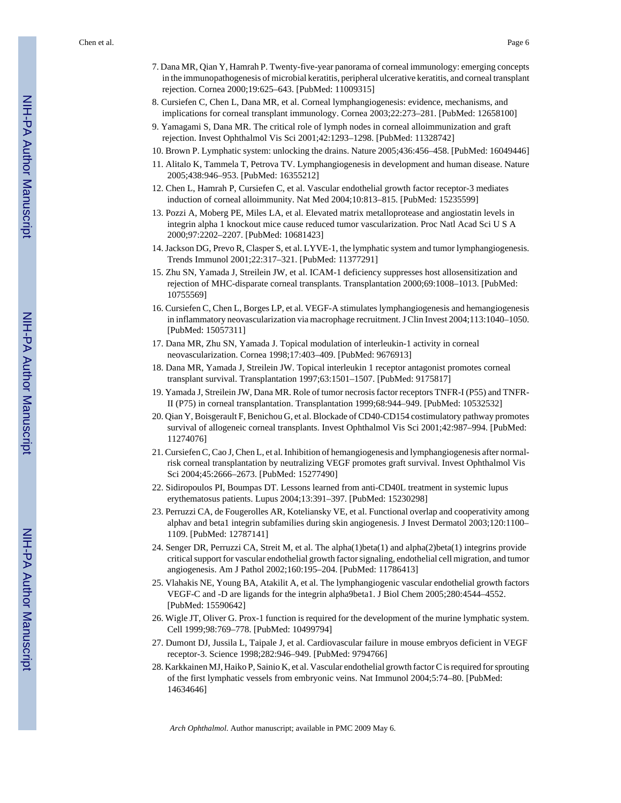Chen et al. Page 6

- 7. Dana MR, Qian Y, Hamrah P. Twenty-five-year panorama of corneal immunology: emerging concepts in the immunopathogenesis of microbial keratitis, peripheral ulcerative keratitis, and corneal transplant rejection. Cornea 2000;19:625–643. [PubMed: 11009315]
- 8. Cursiefen C, Chen L, Dana MR, et al. Corneal lymphangiogenesis: evidence, mechanisms, and implications for corneal transplant immunology. Cornea 2003;22:273–281. [PubMed: 12658100]
- 9. Yamagami S, Dana MR. The critical role of lymph nodes in corneal alloimmunization and graft rejection. Invest Ophthalmol Vis Sci 2001;42:1293–1298. [PubMed: 11328742]
- 10. Brown P. Lymphatic system: unlocking the drains. Nature 2005;436:456–458. [PubMed: 16049446]
- 11. Alitalo K, Tammela T, Petrova TV. Lymphangiogenesis in development and human disease. Nature 2005;438:946–953. [PubMed: 16355212]
- 12. Chen L, Hamrah P, Cursiefen C, et al. Vascular endothelial growth factor receptor-3 mediates induction of corneal alloimmunity. Nat Med 2004;10:813–815. [PubMed: 15235599]
- 13. Pozzi A, Moberg PE, Miles LA, et al. Elevated matrix metalloprotease and angiostatin levels in integrin alpha 1 knockout mice cause reduced tumor vascularization. Proc Natl Acad Sci U S A 2000;97:2202–2207. [PubMed: 10681423]
- 14. Jackson DG, Prevo R, Clasper S, et al. LYVE-1, the lymphatic system and tumor lymphangiogenesis. Trends Immunol 2001;22:317–321. [PubMed: 11377291]
- 15. Zhu SN, Yamada J, Streilein JW, et al. ICAM-1 deficiency suppresses host allosensitization and rejection of MHC-disparate corneal transplants. Transplantation 2000;69:1008–1013. [PubMed: 10755569]
- 16. Cursiefen C, Chen L, Borges LP, et al. VEGF-A stimulates lymphangiogenesis and hemangiogenesis in inflammatory neovascularization via macrophage recruitment. J Clin Invest 2004;113:1040–1050. [PubMed: 15057311]
- 17. Dana MR, Zhu SN, Yamada J. Topical modulation of interleukin-1 activity in corneal neovascularization. Cornea 1998;17:403–409. [PubMed: 9676913]
- 18. Dana MR, Yamada J, Streilein JW. Topical interleukin 1 receptor antagonist promotes corneal transplant survival. Transplantation 1997;63:1501–1507. [PubMed: 9175817]
- 19. Yamada J, Streilein JW, Dana MR. Role of tumor necrosis factor receptors TNFR-I (P55) and TNFR-II (P75) in corneal transplantation. Transplantation 1999;68:944–949. [PubMed: 10532532]
- 20. Qian Y, Boisgerault F, Benichou G, et al. Blockade of CD40-CD154 costimulatory pathway promotes survival of allogeneic corneal transplants. Invest Ophthalmol Vis Sci 2001;42:987–994. [PubMed: 11274076]
- 21. Cursiefen C, Cao J, Chen L, et al. Inhibition of hemangiogenesis and lymphangiogenesis after normalrisk corneal transplantation by neutralizing VEGF promotes graft survival. Invest Ophthalmol Vis Sci 2004;45:2666–2673. [PubMed: 15277490]
- 22. Sidiropoulos PI, Boumpas DT. Lessons learned from anti-CD40L treatment in systemic lupus erythematosus patients. Lupus 2004;13:391–397. [PubMed: 15230298]
- 23. Perruzzi CA, de Fougerolles AR, Koteliansky VE, et al. Functional overlap and cooperativity among alphav and beta1 integrin subfamilies during skin angiogenesis. J Invest Dermatol 2003;120:1100– 1109. [PubMed: 12787141]
- 24. Senger DR, Perruzzi CA, Streit M, et al. The alpha(1)beta(1) and alpha(2)beta(1) integrins provide critical support for vascular endothelial growth factor signaling, endothelial cell migration, and tumor angiogenesis. Am J Pathol 2002;160:195–204. [PubMed: 11786413]
- 25. Vlahakis NE, Young BA, Atakilit A, et al. The lymphangiogenic vascular endothelial growth factors VEGF-C and -D are ligands for the integrin alpha9beta1. J Biol Chem 2005;280:4544–4552. [PubMed: 15590642]
- 26. Wigle JT, Oliver G. Prox-1 function is required for the development of the murine lymphatic system. Cell 1999;98:769–778. [PubMed: 10499794]
- 27. Dumont DJ, Jussila L, Taipale J, et al. Cardiovascular failure in mouse embryos deficient in VEGF receptor-3. Science 1998;282:946–949. [PubMed: 9794766]
- 28. Karkkainen MJ, Haiko P, Sainio K, et al. Vascular endothelial growth factor C is required for sprouting of the first lymphatic vessels from embryonic veins. Nat Immunol 2004;5:74–80. [PubMed: 14634646]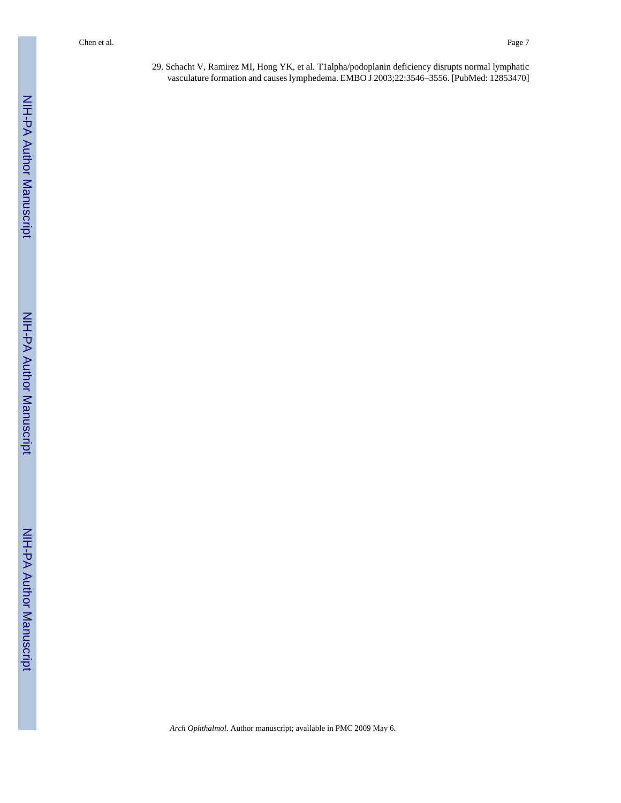29. Schacht V, Ramirez MI, Hong YK, et al. T1alpha/podoplanin deficiency disrupts normal lymphatic vasculature formation and causes lymphedema. EMBO J 2003;22:3546–3556. [PubMed: 12853470]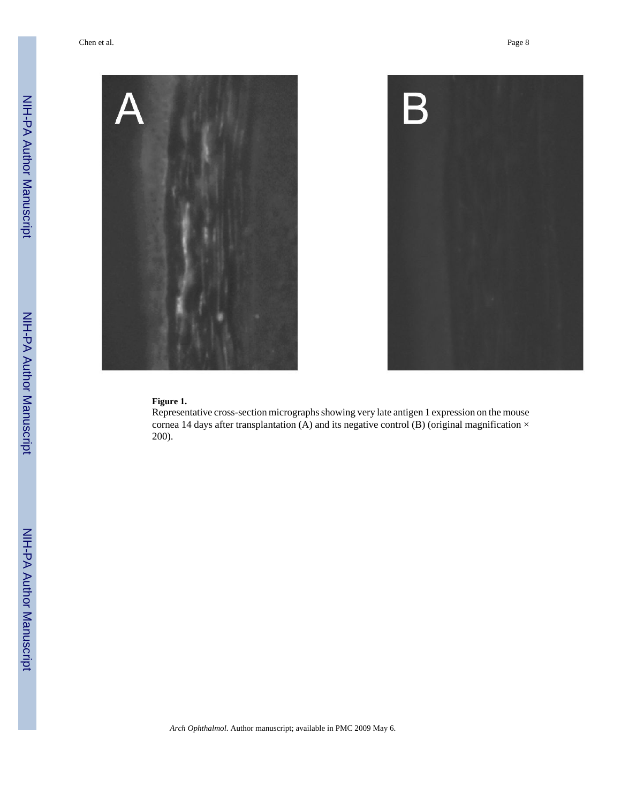

#### **Figure 1.**

Representative cross-section micrographs showing very late antigen 1 expression on the mouse cornea 14 days after transplantation (A) and its negative control (B) (original magnification  $\times$ 200).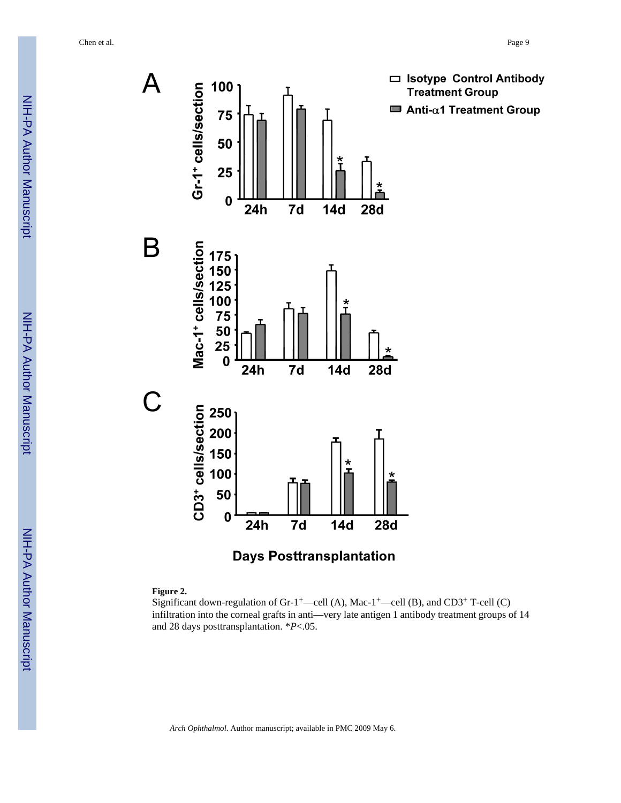



#### **Figure 2.**

Significant down-regulation of Gr-1<sup>+</sup>—cell (A), Mac-1<sup>+</sup>—cell (B), and CD3<sup>+</sup> T-cell (C) infiltration into the corneal grafts in anti—very late antigen 1 antibody treatment groups of 14 and 28 days posttransplantation. \**P*<.05.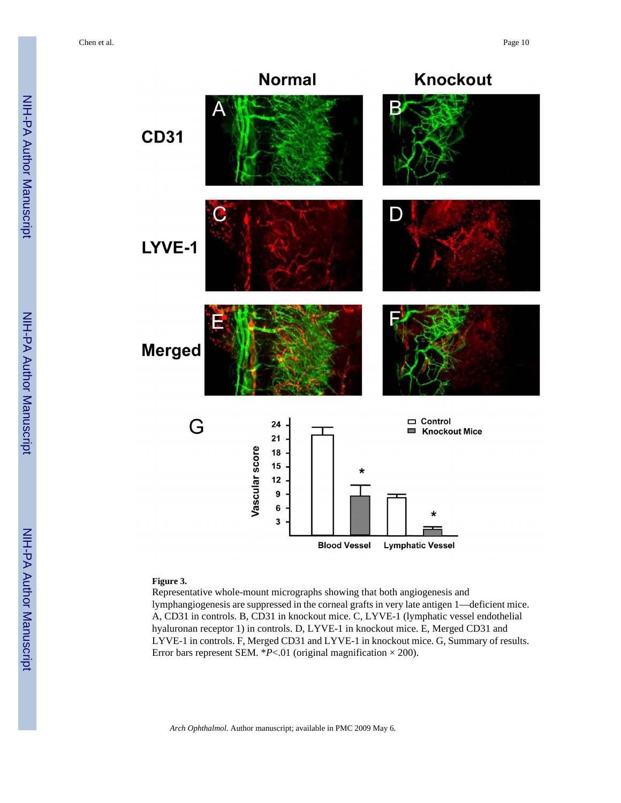Chen et al. Page 10



#### **Figure 3.**

Representative whole-mount micrographs showing that both angiogenesis and lymphangiogenesis are suppressed in the corneal grafts in very late antigen 1—deficient mice. A, CD31 in controls. B, CD31 in knockout mice. C, LYVE-1 (lymphatic vessel endothelial hyaluronan receptor 1) in controls. D, LYVE-1 in knockout mice. E, Merged CD31 and LYVE-1 in controls. F, Merged CD31 and LYVE-1 in knockout mice. G, Summary of results. Error bars represent SEM.  $*P < 01$  (original magnification  $\times$  200).